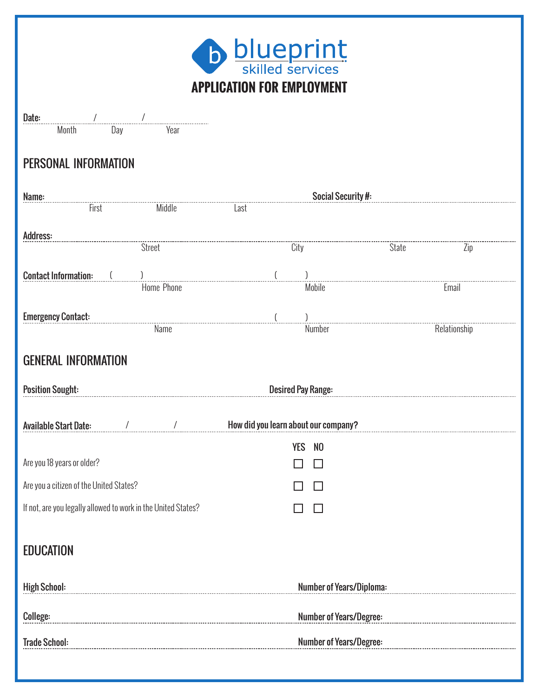

| APPI                                                          |                |                                      |                         |              |  |
|---------------------------------------------------------------|----------------|--------------------------------------|-------------------------|--------------|--|
| Date:                                                         |                |                                      |                         |              |  |
| Month<br>Day                                                  | Year           |                                      |                         |              |  |
| PERSONAL INFORMATION                                          |                |                                      |                         |              |  |
| Name:                                                         |                |                                      | Social Security #:      |              |  |
| First                                                         | Middle<br>Last |                                      |                         |              |  |
| Address:                                                      |                |                                      |                         |              |  |
| Street                                                        |                | City                                 | State                   | Zip          |  |
| <b>Contact Information:</b>                                   |                |                                      |                         |              |  |
| Home Phone                                                    |                | Mobile                               |                         | Email        |  |
| <b>Emergency Contact:</b>                                     |                |                                      |                         |              |  |
| Name                                                          |                | Number                               |                         | Relationship |  |
| <b>GENERAL INFORMATION</b>                                    |                |                                      |                         |              |  |
| <b>Position Sought:</b>                                       |                | <b>Desired Pay Range:</b>            |                         |              |  |
| <b>Available Start Date:</b>                                  | $\prime$       | How did you learn about our company? |                         |              |  |
|                                                               |                | <b>YES</b><br>N <sub>0</sub>         |                         |              |  |
| Are you 18 years or older?                                    |                |                                      |                         |              |  |
| Are you a citizen of the United States?                       |                | П                                    |                         |              |  |
| If not, are you legally allowed to work in the United States? |                | $\Box$                               |                         |              |  |
| <b>EDUCATION</b>                                              |                |                                      |                         |              |  |
| <b>High School:</b>                                           |                | <b>Number of Years/Diploma:</b>      |                         |              |  |
| College:                                                      |                |                                      | Number of Years/Degree: |              |  |
| <b>Trade School:</b>                                          |                | <b>Number of Years/Degree:</b>       |                         |              |  |